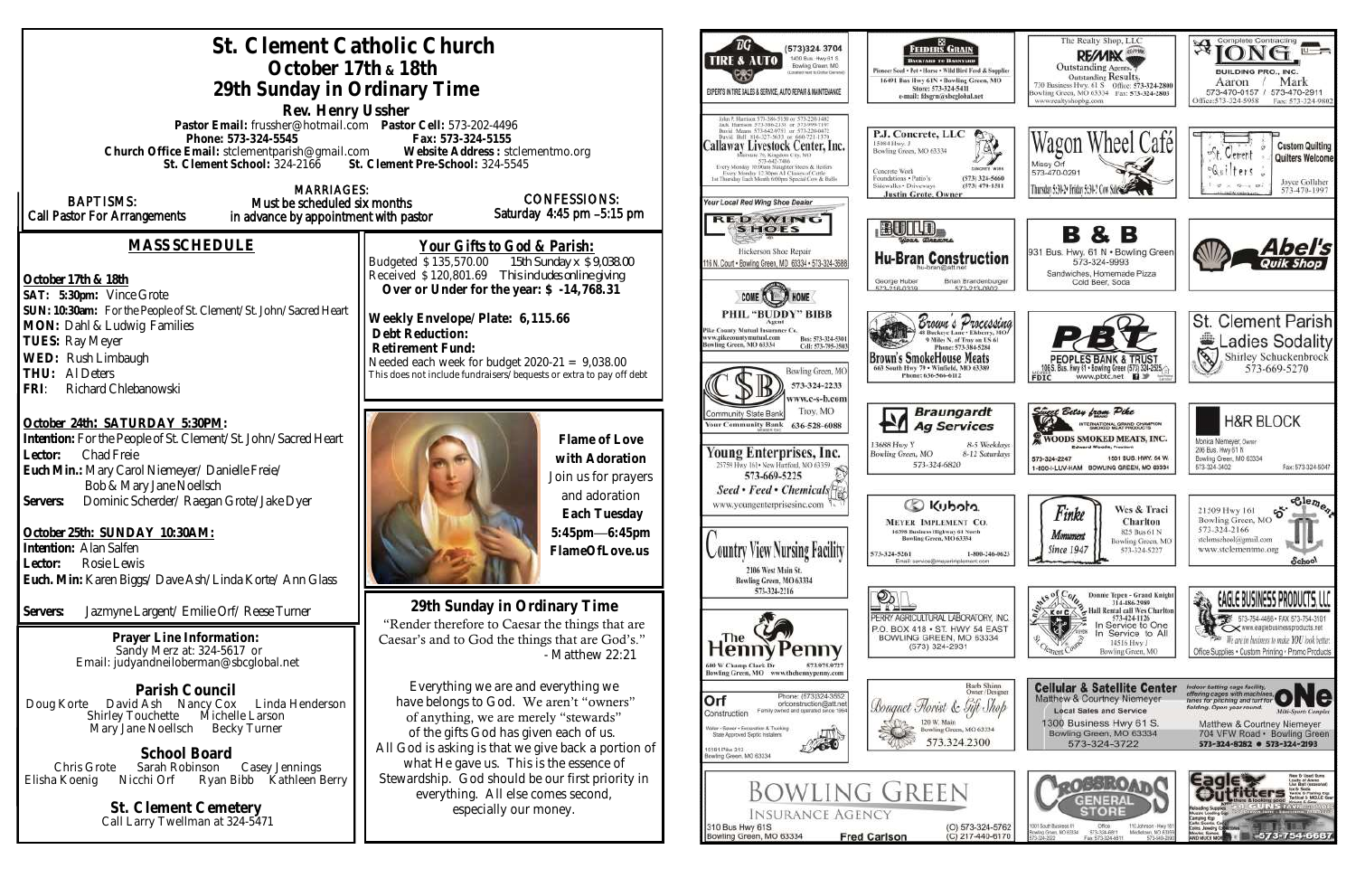